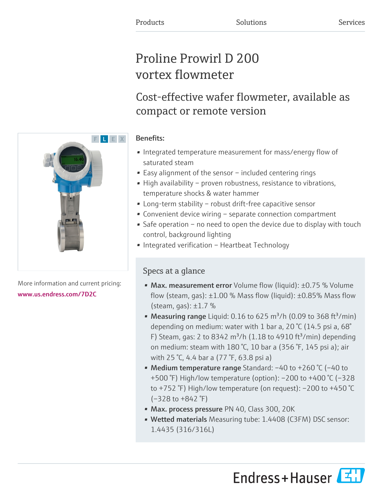# Proline Prowirl D 200 vortex flowmeter

# Cost-effective wafer flowmeter, available as compact or remote version

## Benefits:

- Integrated temperature measurement for mass/energy flow of saturated steam
- Easy alignment of the sensor included centering rings
- High availability proven robustness, resistance to vibrations, temperature shocks & water hammer
- Long-term stability robust drift-free capacitive sensor
- Convenient device wiring separate connection compartment
- Safe operation no need to open the device due to display with touch control, background lighting
- Integrated verification Heartbeat Technology

## Specs at a glance

- Max. measurement error Volume flow (liquid): ±0.75 % Volume flow (steam, gas):  $\pm 1.00$  % Mass flow (liquid):  $\pm 0.85$ % Mass flow (steam, gas):  $\pm 1.7$  %
- Measuring range Liquid: 0.16 to 625 m<sup>3</sup>/h (0.09 to 368 ft<sup>3</sup>/min) depending on medium: water with 1 bar a, 20 °C (14.5 psi a, 68° F) Steam, gas: 2 to 8342 m<sup>3</sup>/h (1.18 to 4910 ft<sup>3</sup>/min) depending on medium: steam with 180 °C, 10 bar a (356 °F, 145 psi a); air with 25 °C, 4.4 bar a (77 °F, 63.8 psi a)
- Medium temperature range Standard: –40 to +260 °C (–40 to +500 °F) High/low temperature (option): –200 to +400 °C (–328 to +752 °F) High/low temperature (on request): –200 to +450 °C  $(-328 \text{ to } +842 \text{ } ^{\circ}F)$
- Max. process pressure PN 40, Class 300, 20K
- Wetted materials Measuring tube: 1.4408 (C3FM) DSC sensor: 1.4435 (316/316L)





More information and current pricing: [www.us.endress.com/7D2C](https://www.us.endress.com/7D2C)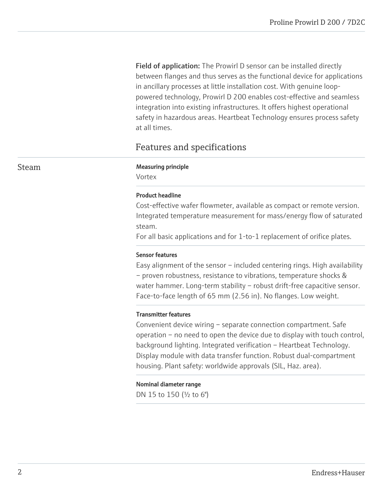**Field of application:** The Prowirl D sensor can be installed directly between flanges and thus serves as the functional device for applications in ancillary processes at little installation cost. With genuine looppowered technology, Prowirl D 200 enables cost-effective and seamless integration into existing infrastructures. It offers highest operational safety in hazardous areas. Heartbeat Technology ensures process safety at all times.

## Features and specifications

#### Steam Measuring principle

Vortex

#### Product headline

Cost-effective wafer flowmeter, available as compact or remote version. Integrated temperature measurement for mass/energy flow of saturated steam.

For all basic applications and for 1-to-1 replacement of orifice plates.

#### Sensor features

Easy alignment of the sensor – included centering rings. High availability – proven robustness, resistance to vibrations, temperature shocks & water hammer. Long-term stability - robust drift-free capacitive sensor. Face-to-face length of 65 mm (2.56 in). No flanges. Low weight.

#### Transmitter features

Convenient device wiring – separate connection compartment. Safe operation – no need to open the device due to display with touch control, background lighting. Integrated verification – Heartbeat Technology. Display module with data transfer function. Robust dual-compartment housing. Plant safety: worldwide approvals (SIL, Haz. area).

#### Nominal diameter range

DN 15 to 150 (½ to 6")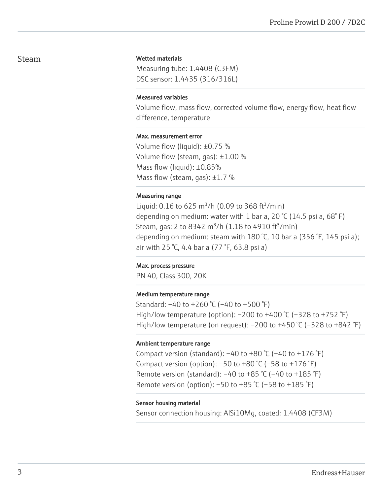#### Steam

#### Wetted materials

Measuring tube: 1.4408 (C3FM) DSC sensor: 1.4435 (316/316L)

#### Measured variables

Volume flow, mass flow, corrected volume flow, energy flow, heat flow difference, temperature

#### Max. measurement error

Volume flow (liquid): ±0.75 % Volume flow (steam, gas): ±1.00 % Mass flow (liquid): ±0.85% Mass flow (steam, gas):  $\pm 1.7$  %

#### Measuring range

Liquid: 0.16 to 625 m<sup>3</sup>/h (0.09 to 368 ft<sup>3</sup>/min) depending on medium: water with 1 bar a, 20  $\degree$ C (14.5 psi a, 68 $\degree$ F) Steam, gas: 2 to 8342 m<sup>3</sup>/h (1.18 to 4910 ft<sup>3</sup>/min) depending on medium: steam with 180 °C, 10 bar a (356 °F, 145 psi a); air with 25 °C, 4.4 bar a (77 °F, 63.8 psi a)

#### Max. process pressure

PN 40, Class 300, 20K

#### Medium temperature range

Standard: –40 to +260 °C (–40 to +500 °F) High/low temperature (option): –200 to +400 °C (–328 to +752 °F) High/low temperature (on request):  $-200$  to  $+450$  °C ( $-328$  to  $+842$  °F)

#### Ambient temperature range

Compact version (standard):  $-40$  to  $+80$  °C ( $-40$  to  $+176$  °F) Compact version (option):  $-50$  to  $+80$  °C ( $-58$  to  $+176$  °F) Remote version (standard):  $-40$  to  $+85$  °C ( $-40$  to  $+185$  °F) Remote version (option): –50 to +85 °C (–58 to +185 °F)

#### Sensor housing material

Sensor connection housing: AlSi10Mg, coated; 1.4408 (CF3M)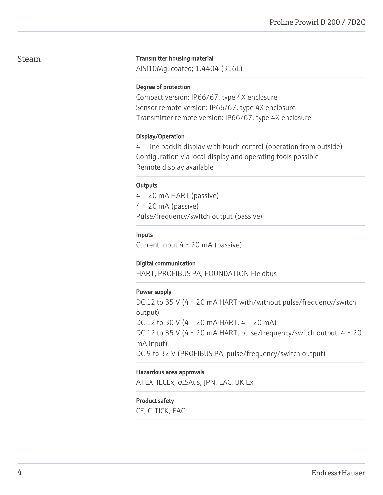### Steam

#### Transmitter housing material

AlSi10Mg, coated; 1.4404 (316L)

#### Degree of protection

Compact version: IP66/67, type 4X enclosure Sensor remote version: IP66/67, type 4X enclosure Transmitter remote version: IP66/67, type 4X enclosure

#### Display/Operation

4‐line backlit display with touch control (operation from outside) Configuration via local display and operating tools possible Remote display available

#### **Outputs**

4‐20 mA HART (passive) 4‐20 mA (passive) Pulse/frequency/switch output (passive)

#### Inputs

Current input 4‐20 mA (passive)

#### Digital communication

HART, PROFIBUS PA, FOUNDATION Fieldbus

#### Power supply

DC 12 to 35 V (4 - 20 mA HART with/without pulse/frequency/switch output) DC 12 to 30 V (4‐20 mA HART, 4‐20 mA) DC 12 to 35 V (4 - 20 mA HART, pulse/frequency/switch output, 4 - 20 mA input) DC 9 to 32 V (PROFIBUS PA, pulse/frequency/switch output)

#### Hazardous area approvals

ATEX, IECEx, cCSAus, JPN, EAC, UK Ex

#### Product safety

CE, C-TICK, EAC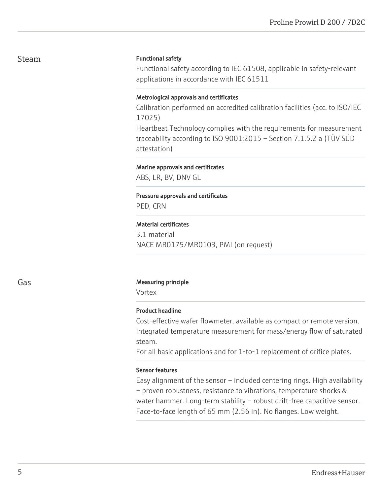## Steam

#### Functional safety

Functional safety according to IEC 61508, applicable in safety-relevant applications in accordance with IEC 61511

#### Metrological approvals and certificates

Calibration performed on accredited calibration facilities (acc. to ISO/IEC 17025)

Heartbeat Technology complies with the requirements for measurement traceability according to ISO 9001:2015 – Section 7.1.5.2 a (TÜV SÜD attestation)

#### Marine approvals and certificates

ABS, LR, BV, DNV GL

## Pressure approvals and certificates

PED, CRN

#### Material certificates

3.1 material NACE MR0175/MR0103, PMI (on request)

#### Gas **Gas Measuring principle**

Vortex

#### Product headline

Cost-effective wafer flowmeter, available as compact or remote version. Integrated temperature measurement for mass/energy flow of saturated steam.

For all basic applications and for 1-to-1 replacement of orifice plates.

#### Sensor features

Easy alignment of the sensor – included centering rings. High availability – proven robustness, resistance to vibrations, temperature shocks & water hammer. Long-term stability - robust drift-free capacitive sensor. Face-to-face length of 65 mm (2.56 in). No flanges. Low weight.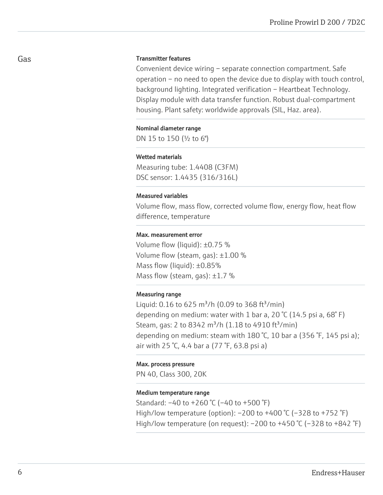#### Transmitter features

Convenient device wiring – separate connection compartment. Safe operation – no need to open the device due to display with touch control, background lighting. Integrated verification – Heartbeat Technology. Display module with data transfer function. Robust dual-compartment housing. Plant safety: worldwide approvals (SIL, Haz. area).

#### Nominal diameter range

DN 15 to 150 (½ to 6")

#### Wetted materials

Measuring tube: 1.4408 (C3FM) DSC sensor: 1.4435 (316/316L)

#### Measured variables

Volume flow, mass flow, corrected volume flow, energy flow, heat flow difference, temperature

#### Max. measurement error

Volume flow (liquid): ±0.75 % Volume flow (steam, gas): ±1.00 % Mass flow (liquid): ±0.85% Mass flow (steam, gas):  $\pm 1.7$  %

#### Measuring range

Liquid: 0.16 to 625 m<sup>3</sup>/h (0.09 to 368 ft<sup>3</sup>/min) depending on medium: water with 1 bar a, 20  $\degree$ C (14.5 psi a, 68 $\degree$ F) Steam, gas: 2 to 8342 m<sup>3</sup>/h (1.18 to 4910 ft<sup>3</sup>/min) depending on medium: steam with 180 °C, 10 bar a (356 °F, 145 psi a); air with 25 °C, 4.4 bar a (77 °F, 63.8 psi a)

#### Max. process pressure

PN 40, Class 300, 20K

#### Medium temperature range

Standard: –40 to +260 °C (–40 to +500 °F) High/low temperature (option): –200 to +400 °C (–328 to +752 °F) High/low temperature (on request):  $-200$  to  $+450$  °C ( $-328$  to  $+842$  °F)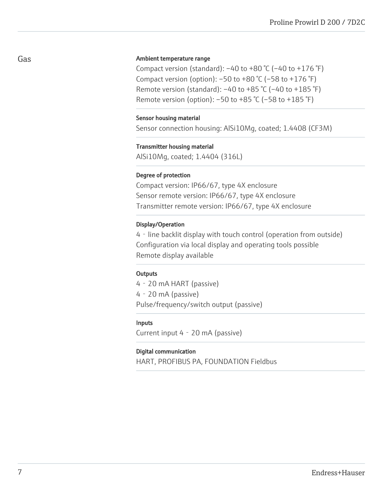#### Ambient temperature range

Compact version (standard):  $-40$  to  $+80$  °C ( $-40$  to  $+176$  °F) Compact version (option):  $-50$  to  $+80$  °C ( $-58$  to  $+176$  °F) Remote version (standard):  $-40$  to  $+85$  °C ( $-40$  to  $+185$  °F) Remote version (option): –50 to +85 °C (–58 to +185 °F)

#### Sensor housing material

Sensor connection housing: AlSi10Mg, coated; 1.4408 (CF3M)

#### Transmitter housing material

AlSi10Mg, coated; 1.4404 (316L)

#### Degree of protection

Compact version: IP66/67, type 4X enclosure Sensor remote version: IP66/67, type 4X enclosure Transmitter remote version: IP66/67, type 4X enclosure

#### Display/Operation

4‐line backlit display with touch control (operation from outside) Configuration via local display and operating tools possible Remote display available

#### **Outputs**

4‐20 mA HART (passive) 4‐20 mA (passive) Pulse/frequency/switch output (passive)

#### Inputs

Current input 4‐20 mA (passive)

#### Digital communication

HART, PROFIBUS PA, FOUNDATION Fieldbus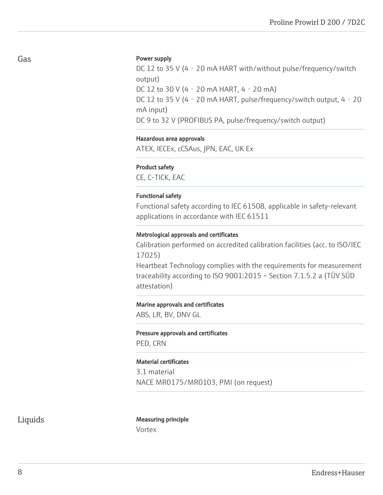#### Power supply

DC 12 to 35 V (4 - 20 mA HART with/without pulse/frequency/switch output) DC 12 to 30 V (4‐20 mA HART, 4‐20 mA) DC 12 to 35 V (4 - 20 mA HART, pulse/frequency/switch output, 4 - 20 mA input) DC 9 to 32 V (PROFIBUS PA, pulse/frequency/switch output)

#### Hazardous area approvals

ATEX, IECEx, cCSAus, JPN, EAC, UK Ex

#### Product safety

CE, C-TICK, EAC

#### Functional safety

Functional safety according to IEC 61508, applicable in safety-relevant applications in accordance with IEC 61511

#### Metrological approvals and certificates

Calibration performed on accredited calibration facilities (acc. to ISO/IEC 17025)

Heartbeat Technology complies with the requirements for measurement traceability according to ISO 9001:2015 – Section 7.1.5.2 a (TÜV SÜD attestation)

#### Marine approvals and certificates

ABS, LR, BV, DNV GL

#### Pressure approvals and certificates

PED, CRN

#### Material certificates

3.1 material NACE MR0175/MR0103, PMI (on request)

#### Liquids Measuring principle Vortex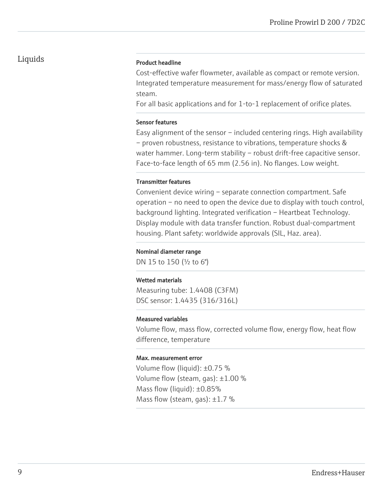#### Product headline

Cost-effective wafer flowmeter, available as compact or remote version. Integrated temperature measurement for mass/energy flow of saturated steam.

For all basic applications and for 1-to-1 replacement of orifice plates.

#### Sensor features

Easy alignment of the sensor – included centering rings. High availability – proven robustness, resistance to vibrations, temperature shocks & water hammer. Long-term stability – robust drift-free capacitive sensor. Face-to-face length of 65 mm (2.56 in). No flanges. Low weight.

#### Transmitter features

Convenient device wiring – separate connection compartment. Safe operation – no need to open the device due to display with touch control, background lighting. Integrated verification – Heartbeat Technology. Display module with data transfer function. Robust dual-compartment housing. Plant safety: worldwide approvals (SIL, Haz. area).

#### Nominal diameter range

DN 15 to 150 (½ to 6")

#### Wetted materials

Measuring tube: 1.4408 (C3FM) DSC sensor: 1.4435 (316/316L)

#### Measured variables

Volume flow, mass flow, corrected volume flow, energy flow, heat flow difference, temperature

#### Max. measurement error

Volume flow (liquid): ±0.75 % Volume flow (steam, gas): ±1.00 % Mass flow (liquid): ±0.85% Mass flow (steam, gas):  $\pm 1.7$  %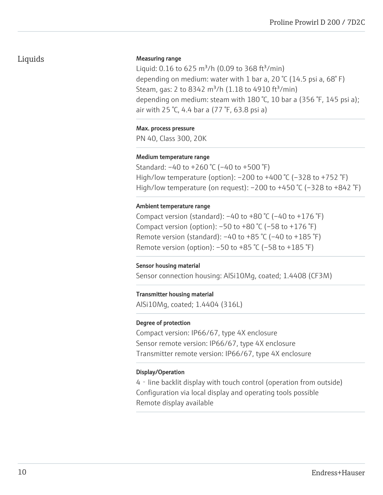#### Measuring range

Liquid: 0.16 to 625 m<sup>3</sup>/h (0.09 to 368 ft<sup>3</sup>/min) depending on medium: water with 1 bar a, 20 °C (14.5 psi a, 68°F) Steam, gas: 2 to 8342 m<sup>3</sup>/h (1.18 to 4910 ft<sup>3</sup>/min) depending on medium: steam with 180 °C, 10 bar a (356 °F, 145 psi a); air with 25 °C, 4.4 bar a (77 °F, 63.8 psi a)

#### Max. process pressure

PN 40, Class 300, 20K

#### Medium temperature range

Standard: –40 to +260 °C (–40 to +500 °F) High/low temperature (option): –200 to +400 °C (–328 to +752 °F) High/low temperature (on request):  $-200$  to  $+450$  °C ( $-328$  to  $+842$  °F)

#### Ambient temperature range

Compact version (standard):  $-40$  to  $+80$  °C ( $-40$  to  $+176$  °F) Compact version (option):  $-50$  to  $+80$  °C ( $-58$  to  $+176$  °F) Remote version (standard):  $-40$  to  $+85$  °C ( $-40$  to  $+185$  °F) Remote version (option): –50 to +85 °C (–58 to +185 °F)

#### Sensor housing material

Sensor connection housing: AlSi10Mg, coated; 1.4408 (CF3M)

#### Transmitter housing material

AlSi10Mg, coated; 1.4404 (316L)

#### Degree of protection

Compact version: IP66/67, type 4X enclosure Sensor remote version: IP66/67, type 4X enclosure Transmitter remote version: IP66/67, type 4X enclosure

#### Display/Operation

4‐line backlit display with touch control (operation from outside) Configuration via local display and operating tools possible Remote display available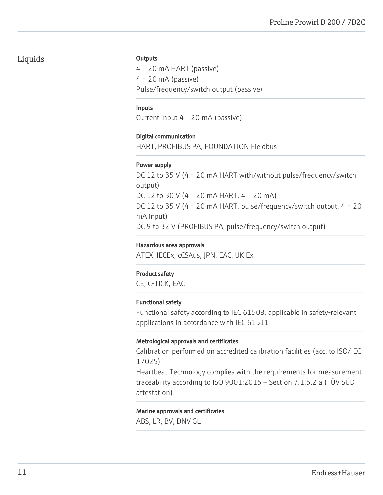#### **Outputs**

4‐20 mA HART (passive) 4‐20 mA (passive) Pulse/frequency/switch output (passive)

#### Inputs

Current input 4‐20 mA (passive)

#### Digital communication

HART, PROFIBUS PA, FOUNDATION Fieldbus

#### Power supply

DC 12 to 35 V (4 - 20 mA HART with/without pulse/frequency/switch output) DC 12 to 30 V (4‐20 mA HART, 4‐20 mA) DC 12 to 35 V (4 - 20 mA HART, pulse/frequency/switch output, 4 - 20 mA input) DC 9 to 32 V (PROFIBUS PA, pulse/frequency/switch output)

#### Hazardous area approvals

ATEX, IECEx, cCSAus, JPN, EAC, UK Ex

#### Product safety

CE, C-TICK, EAC

#### Functional safety

Functional safety according to IEC 61508, applicable in safety-relevant applications in accordance with IEC 61511

#### Metrological approvals and certificates

Calibration performed on accredited calibration facilities (acc. to ISO/IEC 17025)

Heartbeat Technology complies with the requirements for measurement traceability according to ISO 9001:2015 – Section 7.1.5.2 a (TÜV SÜD attestation)

#### Marine approvals and certificates

ABS, LR, BV, DNV GL